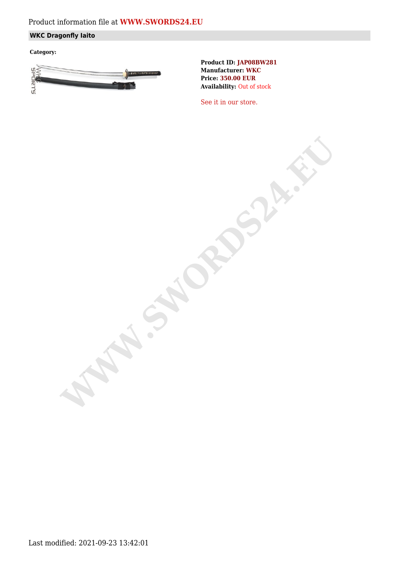# Product information file at **[WWW.SWORDS24.EU](https://www.swords24.eu)**

## **WKC Dragonfly Iaito**

**Category:**



**Product ID: JAP08BW281 Manufacturer: WKC Price: 350.00 EUR Availability:** Out of stock

[See it in our store.](https://www.swords24.eu/product/description/1124/WKC-Dragonfly-Iaito-JAP08BW302.html)

**WAWA.SWER**